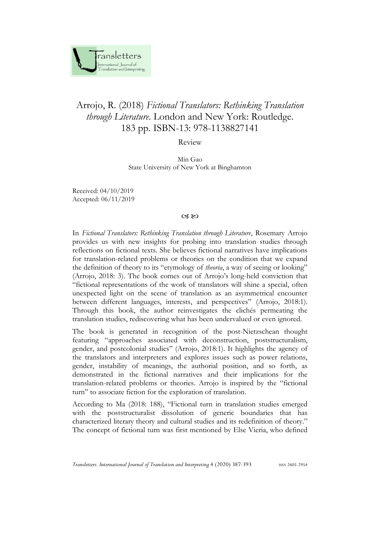

## Arrojo, R. (2018) *Fictional Translators: Rethinking Translation through Literature*. London and New York: Routledge. 183 pp. ISBN-13: 978-1138827141

Review

Min Gao State University of New York at Binghamton

Received: 04/10/2019 Accepted: 06/11/2019

## $CZ$  &  $CZ$

In *Fictional Translators: Rethinking Translation through Literature*, Rosemary Arrojo provides us with new insights for probing into translation studies through reflections on fictional texts. She believes fictional narratives have implications for translation-related problems or theories on the condition that we expand the definition of theory to its "etymology of *theoria*, a way of seeing or looking" (Arrojo, 2018: 3). The book comes out of Arrojo's long-held conviction that "fictional representations of the work of translators will shine a special, often unexpected light on the scene of translation as an asymmetrical encounter between different languages, interests, and perspectives" (Arrojo, 2018:1). Through this book, the author reinvestigates the clichés permeating the translation studies, rediscovering what has been undervalued or even ignored.

The book is generated in recognition of the post-Nietzschean thought featuring "approaches associated with deconstruction, poststructuralism, gender, and postcolonial studies" (Arrojo, 2018:1). It highlights the agency of the translators and interpreters and explores issues such as power relations, gender, instability of meanings, the authorial position, and so forth, as demonstrated in the fictional narratives and their implications for the translation-related problems or theories. Arrojo is inspired by the "fictional turn" to associate fiction for the exploration of translation.

According to Ma (2018: 188), "Fictional turn in translation studies emerged with the poststructuralist dissolution of generic boundaries that has characterized literary theory and cultural studies and its redefinition of theory." The concept of fictional turn was first mentioned by Else Vieria, who defined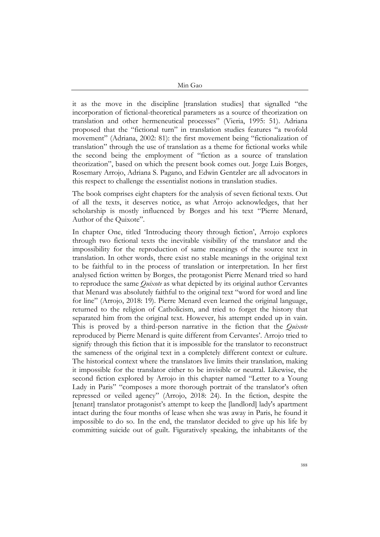Min Gao

it as the move in the discipline [translation studies] that signalled "the incorporation of fictional-theoretical parameters as a source of theorization on translation and other hermeneutical processes" (Vieria, 1995: 51). Adriana proposed that the "fictional turn" in translation studies features "a twofold movement" (Adriana, 2002: 81): the first movement being "fictionalization of translation" through the use of translation as a theme for fictional works while the second being the employment of "fiction as a source of translation theorization", based on which the present book comes out. Jorge Luis Borges, Rosemary Arrojo, Adriana S. Pagano, and Edwin Gentzler are all advocators in this respect to challenge the essentialist notions in translation studies.

The book comprises eight chapters for the analysis of seven fictional texts. Out of all the texts, it deserves notice, as what Arrojo acknowledges, that her scholarship is mostly influenced by Borges and his text "Pierre Menard, Author of the Quixote".

In chapter One, titled 'Introducing theory through fiction', Arrojo explores through two fictional texts the inevitable visibility of the translator and the impossibility for the reproduction of same meanings of the source text in translation. In other words, there exist no stable meanings in the original text to be faithful to in the process of translation or interpretation. In her first analysed fiction written by Borges, the protagonist Pierre Menard tried so hard to reproduce the same *Quixote* as what depicted by its original author Cervantes that Menard was absolutely faithful to the original text "word for word and line for line" (Arrojo, 2018: 19). Pierre Menard even learned the original language, returned to the religion of Catholicism, and tried to forget the history that separated him from the original text. However, his attempt ended up in vain. This is proved by a third-person narrative in the fiction that the *Quixote* reproduced by Pierre Menard is quite different from Cervantes'. Arrojo tried to signify through this fiction that it is impossible for the translator to reconstruct the sameness of the original text in a completely different context or culture. The historical context where the translators live limits their translation, making it impossible for the translator either to be invisible or neutral. Likewise, the second fiction explored by Arrojo in this chapter named ["Letter to a Young](https://www.britannica.com/biography/Julio-Cortazar)  [Lady in Paris" "composes a more thor](https://www.britannica.com/biography/Julio-Cortazar)ough portrait of the translator's often [repressed or veiled agency" \(Arrojo, 2018: 24\). In the fiction, despite the](https://www.britannica.com/biography/Julio-Cortazar)  [\[tenant\] translator protagonist's attempt to keep the \[landlord\]](https://www.britannica.com/biography/Julio-Cortazar) lady's apartment intact during the four [months of lease when she was away in Paris, he found it](https://www.britannica.com/biography/Julio-Cortazar)  impossible to do [so. In the end, the translator decided to give up his life by](https://www.britannica.com/biography/Julio-Cortazar)  committing suicide out of guilt. [Figuratively speaking, the inhabitants of the](https://www.britannica.com/biography/Julio-Cortazar)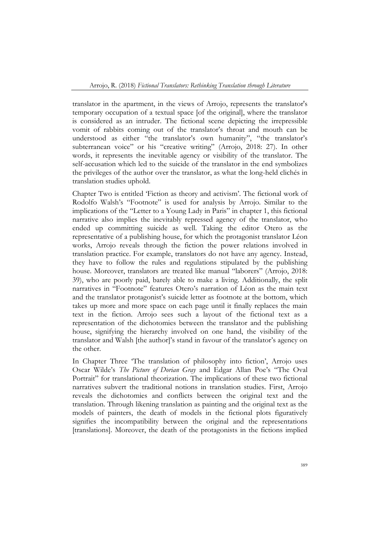[translator in the apartment, in the views](https://www.britannica.com/biography/Julio-Cortazar) of Arrojo, represents the translator's temporary occupation of a textual [space \[of the original\], where the translator](https://www.britannica.com/biography/Julio-Cortazar)  [is considered as an intruder. The fictional scene depicting the irrepressible](https://www.britannica.com/biography/Julio-Cortazar)  vomit of rabbits co[ming out of the translator's throat and](https://www.britannica.com/biography/Julio-Cortazar) mouth can be [understood as either "the translator's own humanity", "the translator's](https://www.britannica.com/biography/Julio-Cortazar)  [subterranean voice" or his "creative writing" \(Arrojo, 2018: 27\). In other](https://www.britannica.com/biography/Julio-Cortazar)  words, it represents [the inevitable agency or visibility](https://www.britannica.com/biography/Julio-Cortazar) of the translator. The self-accusation [which led to the suicide of the translator in the end symbolizes](https://www.britannica.com/biography/Julio-Cortazar) [the privileges of the author over the translator, as what the long-held clichés in](https://www.britannica.com/biography/Julio-Cortazar)  [translation studies uphold.](https://www.britannica.com/biography/Julio-Cortazar) 

Chapter Two [is entitled 'Fiction as theory and activism'. The fictional work o](https://www.britannica.com/biography/Julio-Cortazar)f Rodolfo Walsh's "Footnote" is used [for analysis by Arrojo. Similar to the](https://www.britannica.com/biography/Julio-Cortazar)  [implications of the "Letter to a Young Lady in Paris"](https://www.britannica.com/biography/Julio-Cortazar) in chapter 1, this fictional narrative also implies [the inevitably repressed agency of the translator, who](https://www.britannica.com/biography/Julio-Cortazar)  ended up committing [suicide as well. Taking the editor Otero as the](https://www.britannica.com/biography/Julio-Cortazar)  representative of a [publishing house, for which the protagonist translator](https://www.britannica.com/biography/Julio-Cortazar) Léon [works, Arrojo reveals through the fiction the power relations involved in](https://www.britannica.com/biography/Julio-Cortazar)  [translation practice. For example, translators do not](https://www.britannica.com/biography/Julio-Cortazar) have any agency. Instead, they have [to follow the rules and regulations stipulated by the publishing](https://www.britannica.com/biography/Julio-Cortazar)  [house. Moreover, translators are treated like manual "laborers" \(Arrojo, 2018:](https://www.britannica.com/biography/Julio-Cortazar)  39), who [are poorly paid, barely able to make a living. Additionally, the split](https://www.britannica.com/biography/Julio-Cortazar)  [narratives in "Footnote" featur](https://www.britannica.com/biography/Julio-Cortazar)es Otero's narration of Léon as the main text [and the translator protagonist's suicide letter](https://www.britannica.com/biography/Julio-Cortazar) as footnote at the bottom, which [takes up more and more space on each page until it finally replaces the main](https://www.britannica.com/biography/Julio-Cortazar)  text in the fiction. Arrojo sees [such a layout of the fictional text as a](https://www.britannica.com/biography/Julio-Cortazar)  [representation of the dichotomies between the translator and the publishing](https://www.britannica.com/biography/Julio-Cortazar)  house, signifying [the hierarchy involved on one hand, the visibility of the](https://www.britannica.com/biography/Julio-Cortazar)  [translator and Walsh \[the author\]'s stand in favour of the translator's agency on](https://www.britannica.com/biography/Julio-Cortazar)  [the other.](https://www.britannica.com/biography/Julio-Cortazar) 

In Chapter Three 'The translation of philosophy into fiction', Arrojo uses Oscar Wilde's *The Picture of Dorian Gray* and Edgar Allan Poe's "The Oval Portrait" for translational theorization. The implications of these two fictional narratives subvert the traditional notions in translation studies. First, Arrojo reveals the dichotomies and conflicts between the original text and the translation. Through likening translation as painting and the original text as the models of painters, the death of models in the fictional plots figuratively signifies the incompatibility between the original and the representations [translations]. Moreover, the death of the protagonists in the fictions implied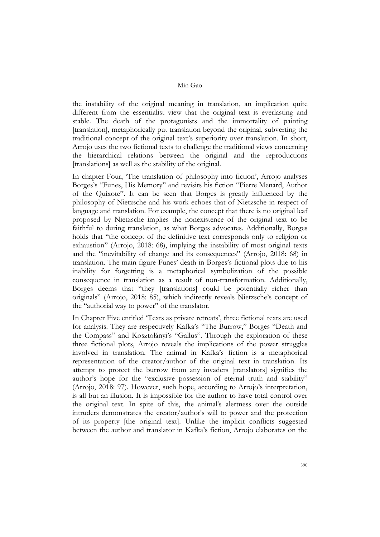Min Gao

the instability of the original meaning in translation, an implication quite different from the essentialist view that the original text is everlasting and stable. The death of the protagonists and the immortality of painting [translation], metaphorically put translation beyond the original, subverting the traditional concept of the original text's superiority over translation. In short, Arrojo uses the two fictional texts to challenge the traditional views concerning the hierarchical relations between the original and the reproductions [translations] as well as the stability of the original.

In chapter Four, 'The translation of philosophy into fiction', Arrojo analyses Borges's "Funes, His Memory" and revisits his fiction "Pierre Menard, Author of the Quixote". It can be seen that Borges is greatly influenced by the philosophy of Nietzsche and his work echoes that of Nietzsche in respect of language and translation. For example, the concept that there is no original leaf proposed by Nietzsche implies the nonexistence of the original text to be faithful to during translation, as what Borges advocates. Additionally, Borges holds that "the concept of the definitive text corresponds only to religion or exhaustion" (Arrojo, 2018: 68), implying the instability of most original texts and the "inevitability of change and its consequences" (Arrojo, 2018: 68) in translation. The main figure Funes' death in Borges's fictional plots due to his inability for forgetting is a metaphorical symbolization of the possible consequence in translation as a result of non-transformation. Additionally, Borges deems that "they [translations] could be potentially richer than originals" (Arrojo, 2018: 85), which indirectly reveals Nietzsche's concept of the "authorial way to power" of the translator.

In Chapter Five entitled 'Texts as private retreats', three fictional texts are used for analysis. They are respectively Kafka's "The Burrow," Borges "Death and the Compass" and Kosztolányi's "Gallus". Through the exploration of these three fictional plots, Arrojo reveals the implications of the power struggles involved in translation. The animal in Kafka's fiction is a metaphorical representation of the creator/author of the original text in translation. Its attempt to protect the burrow from any invaders [translators] signifies the author's hope for the "exclusive possession of eternal truth and stability" (Arrojo, 2018: 97). However, such hope, according to Arrojo's interpretation, is all but an illusion. It is impossible for the author to have total control over the original text. In spite of this, the animal's alertness over the outside intruders demonstrates the creator/author's will to power and the protection of its property [the original text]. Unlike the implicit conflicts suggested between the author and translator in Kafka's fiction, Arrojo elaborates on the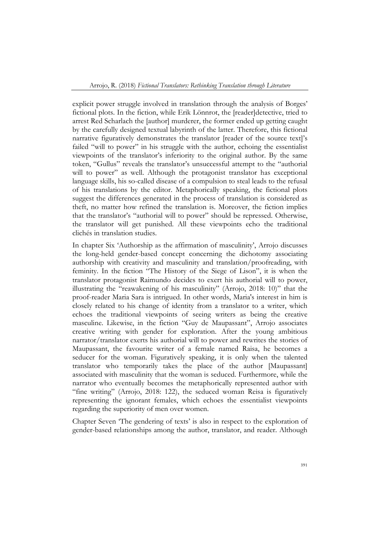explicit power struggle involved in translation through the analysis of Borges' fictional plots. In the fiction, while Erik Lönnrot, the [reader]detective, tried to arrest Red Scharlach the [author] murderer, the former ended up getting caught by the carefully designed textual labyrinth of the latter. Therefore, this fictional narrative figuratively demonstrates the translator [reader of the source text]'s failed "will to power" in his struggle with the author, echoing the essentialist viewpoints of the translator's inferiority to the original author. By the same token, "Gullus" reveals the translator's unsuccessful attempt to the "authorial will to power" as well. Although the protagonist translator has exceptional language skills, his so-called disease of a compulsion to steal leads to the refusal of his translations by the editor. Metaphorically speaking, the fictional plots suggest the differences generated in the process of translation is considered as theft, no matter how refined the translation is. Moreover, the fiction implies that the translator's "authorial will to power" should be repressed. Otherwise, the translator will get punished. All these viewpoints echo the traditional clichés in translation studies.

In chapter Six 'Authorship as the affirmation of masculinity', Arrojo discusses the long-held gender-based concept concerning the dichotomy associating authorship with creativity and masculinity and translation/proofreading, with feminity. In the fiction "The History of the Siege of Lison", it is when the translator protagonist Raimundo decides to exert his authorial will to power, illustrating the "reawakening of his masculinity" (Arrojo, 2018: 10)" that the proof-reader Maria Sara is intrigued. In other words, Maria's interest in him is closely related to his change of identity from a translator to a writer, which echoes the traditional viewpoints of seeing writers as being the creative masculine. Likewise, in the fiction "Guy de Maupassant", Arrojo associates creative writing with gender for exploration. After the young ambitious narrator/translator exerts his authorial will to power and rewrites the stories of Maupassant, the favourite writer of a female named Raisa, he becomes a seducer for the woman. Figuratively speaking, it is only when the talented translator who temporarily takes the place of the author [Maupassant] associated with masculinity that the woman is seduced. Furthermore, while the narrator who eventually becomes the metaphorically represented author with "fine writing" (Arrojo, 2018: 122), the seduced woman Reisa is figuratively representing the ignorant females, which echoes the essentialist viewpoints regarding the superiority of men over women.

Chapter Seven 'The gendering of texts' is also in respect to the exploration of gender-based relationships among the author, translator, and reader. Although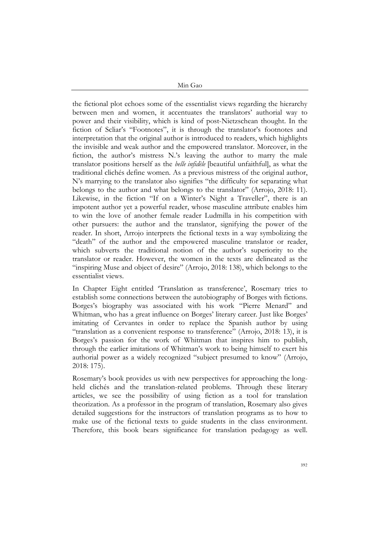Min Gao

the fictional plot echoes some of the essentialist views regarding the hierarchy between men and women, it accentuates the translators' authorial way to power and their visibility, which is kind of post-Nietzschean thought. In the fiction of Scliar's "Footnotes", it is through the translator's footnotes and interpretation that the original author is introduced to readers, which highlights the invisible and weak author and the empowered translator. Moreover, in the fiction, the author's mistress N.'s leaving the author to marry the male translator positions herself as the *belle infidèle* [beautiful unfaithful], as what the traditional clichés define women. As a previous mistress of the original author, N's marrying to the translator also signifies "the difficulty for separating what belongs to the author and what belongs to the translator" (Arrojo, 2018: 11). Likewise, in the fiction "If on a Winter's Night a Traveller", there is an impotent author yet a powerful reader, whose masculine attribute enables him to win the love of another female reader Ludmilla in his competition with other pursuers: the author and the translator, signifying the power of the reader. In short, Arrojo interprets the fictional texts in a way symbolizing the "death" of the author and the empowered masculine translator or reader, which subverts the traditional notion of the author's superiority to the translator or reader. However, the women in the texts are delineated as the "inspiring Muse and object of desire" (Arrojo, 2018: 138), which belongs to the essentialist views.

In Chapter Eight entitled 'Translation as transference', Rosemary tries to establish some connections between the autobiography of Borges with fictions. Borges's biography was associated with his work "Pierre Menard" and Whitman, who has a great influence on Borges' literary career. Just like Borges' imitating of Cervantes in order to replace the Spanish author by using "translation as a convenient response to transference" (Arrojo, 2018: 13), it is Borges's passion for the work of Whitman that inspires him to publish, through the earlier imitations of Whitman's work to being himself to exert his authorial power as a widely recognized "subject presumed to know" (Arrojo, 2018: 175).

Rosemary's book provides us with new perspectives for approaching the longheld clichés and the translation-related problems. Through these literary articles, we see the possibility of using fiction as a tool for translation theorization. As a professor in the program of translation, Rosemary also gives detailed suggestions for the instructors of translation programs as to how to make use of the fictional texts to guide students in the class environment. Therefore, this book bears significance for translation pedagogy as well.